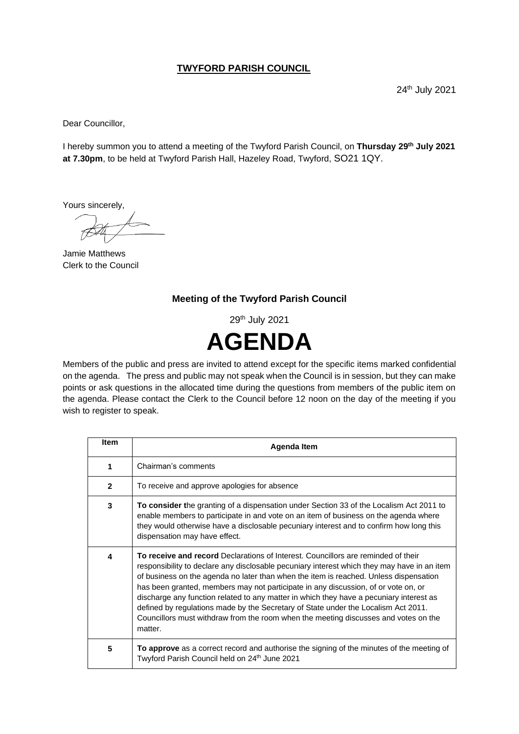## **TWYFORD PARISH COUNCIL**

24th July 2021

Dear Councillor,

I hereby summon you to attend a meeting of the Twyford Parish Council, on **Thursday 29th July 2021 at 7.30pm**, to be held at Twyford Parish Hall, Hazeley Road, Twyford, SO21 1QY.

Yours sincerely,

Jamie Matthews Clerk to the Council

## **Meeting of the Twyford Parish Council**

29th July 2021



Members of the public and press are invited to attend except for the specific items marked confidential on the agenda. The press and public may not speak when the Council is in session, but they can make points or ask questions in the allocated time during the questions from members of the public item on the agenda. Please contact the Clerk to the Council before 12 noon on the day of the meeting if you wish to register to speak.

| <b>Item</b>  | Agenda Item                                                                                                                                                                                                                                                                                                                                                                                                                                                                                                                                                                                                                                        |
|--------------|----------------------------------------------------------------------------------------------------------------------------------------------------------------------------------------------------------------------------------------------------------------------------------------------------------------------------------------------------------------------------------------------------------------------------------------------------------------------------------------------------------------------------------------------------------------------------------------------------------------------------------------------------|
| 1            | Chairman's comments                                                                                                                                                                                                                                                                                                                                                                                                                                                                                                                                                                                                                                |
| $\mathbf{2}$ | To receive and approve apologies for absence                                                                                                                                                                                                                                                                                                                                                                                                                                                                                                                                                                                                       |
| 3            | <b>To consider the granting of a dispensation under Section 33 of the Localism Act 2011 to</b><br>enable members to participate in and vote on an item of business on the agenda where<br>they would otherwise have a disclosable pecuniary interest and to confirm how long this<br>dispensation may have effect.                                                                                                                                                                                                                                                                                                                                 |
| 4            | To receive and record Declarations of Interest. Councillors are reminded of their<br>responsibility to declare any disclosable pecuniary interest which they may have in an item<br>of business on the agenda no later than when the item is reached. Unless dispensation<br>has been granted, members may not participate in any discussion, of or vote on, or<br>discharge any function related to any matter in which they have a pecuniary interest as<br>defined by regulations made by the Secretary of State under the Localism Act 2011.<br>Councillors must withdraw from the room when the meeting discusses and votes on the<br>matter. |
| 5            | To approve as a correct record and authorise the signing of the minutes of the meeting of<br>Twyford Parish Council held on 24th June 2021                                                                                                                                                                                                                                                                                                                                                                                                                                                                                                         |